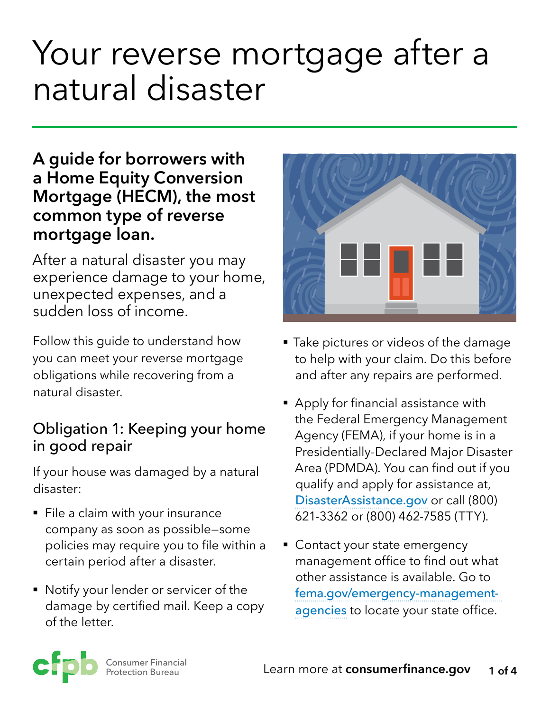# Your reverse mortgage after a natural disaster

### **A guide for borrowers with a Home Equity Conversion Mortgage (HECM), the most common type of reverse mortgage loan.**

After a natural disaster you may experience damage to your home, unexpected expenses, and a sudden loss of income.

natural disaster.<br>
• Apply for financial assistance with

disaster:  $\overline{a}$  disaster:

- File a claim with your insurance  $\frac{621-3362}{621-3362}$  or (800) 462-7585 (TTY). company as soon as possible—some policies may require you to file within a <br>• Contact your state emergency certain period after a disaster. management office to find out what
- Notify your lender or servicer of the fema.gov/emergency-management-<br>damage by certified mail. Keep a copy agencies to locate your state office damage by certified mail. Keep a copy and all [agencies](http://www.fema.gov/emergency-management-agencies) to locate your state office.<br>of the letter.



- Follow this guide to understand how **Filte E** Take pictures or videos of the damage you can meet your reverse mortgage to help with your claim. Do this before obligations while recovering from a and after any repairs are performed.
- the Federal Emergency Management<br> **Obligation 1: Keeping your home** <br>
Agency (FEMA), if your home is in a<br>
Presidentially-Declared Major Disaster If your house was damaged by a natural Area (PDMDA). You can find out if you [DisasterAssistance.gov](http://www.DisasterAssistance.gov) or call (800)
	- other assistance is available. Go to

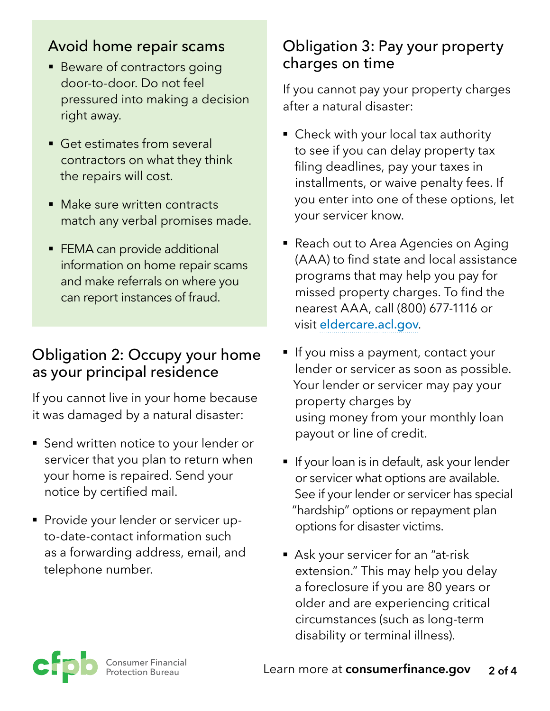#### Avoid home repair scams

- Beware of contractors going door-to-door. Do not feel pressured into making a decision right away.
- Get estimates from several contractors on what they think the repairs will cost.
- Make sure written contracts match any verbal promises made.
- **FEMA can provide additional** information on home repair scams and make referrals on where you can report instances of fraud.

#### Obligation 2: Occupy your home as your principal residence

If you cannot live in your home because it was damaged by a natural disaster:

- Send written notice to your lender or servicer that you plan to return when your home is repaired. Send your notice by certified mail.
- **Provide your lender or servicer up**to-date-contact information such as a forwarding address, email, and telephone number.

#### Obligation 3: Pay your property charges on time

If you cannot pay your property charges after a natural disaster:

- Check with your local tax authority to see if you can delay property tax filing deadlines, pay your taxes in installments, or waive penalty fees. If you enter into one of these options, let your servicer know.
- Reach out to Area Agencies on Aging (AAA) to find state and local assistance programs that may help you pay for missed property charges. To find the nearest AAA, call (800) 677-1116 or visit [eldercare.acl.gov](http://www.eldercare.acl.gov).
- If you miss a payment, contact your lender or servicer as soon as possible. Your lender or servicer may pay your property charges by using money from your monthly loan payout or line of credit.
- **•** If your loan is in default, ask your lender or servicer what options are available. See if your lender or servicer has special "hardship" options or repayment plan options for disaster victims.
- Ask your servicer for an "at-risk extension." This may help you delay a foreclosure if you are 80 years or older and are experiencing critical circumstances (such as long-term disability or terminal illness).

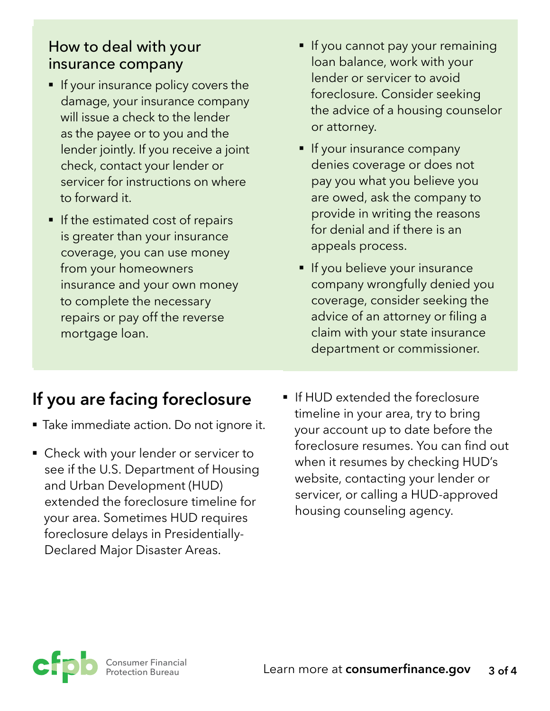#### How to deal with your insurance company

- **•** If your insurance policy covers the damage, your insurance company will issue a check to the lender as the payee or to you and the lender jointly. If you receive a joint check, contact your lender or servicer for instructions on where to forward it.
- **If the estimated cost of repairs** is greater than your insurance coverage, you can use money from your homeowners insurance and your own money to complete the necessary repairs or pay off the reverse mortgage loan.
- **If you are facing foreclosure**
- Take immediate action. Do not ignore it.
- Check with your lender or servicer to see if the U.S. Department of Housing and Urban Development (HUD) extended the foreclosure timeline for your area. Sometimes HUD requires foreclosure delays in Presidentially-Declared Major Disaster Areas.
- **•** If you cannot pay your remaining loan balance, work with your lender or servicer to avoid foreclosure. Consider seeking the advice of a housing counselor or attorney.
- **If your insurance company** denies coverage or does not pay you what you believe you are owed, ask the company to provide in writing the reasons for denial and if there is an appeals process.
- **•** If you believe your insurance company wrongfully denied you coverage, consider seeking the advice of an attorney or filing a claim with your state insurance department or commissioner.
- If HUD extended the foreclosure timeline in your area, try to bring your account up to date before the foreclosure resumes. You can find out when it resumes by checking HUD's website, contacting your lender or servicer, or calling a HUD-approved housing counseling agency.